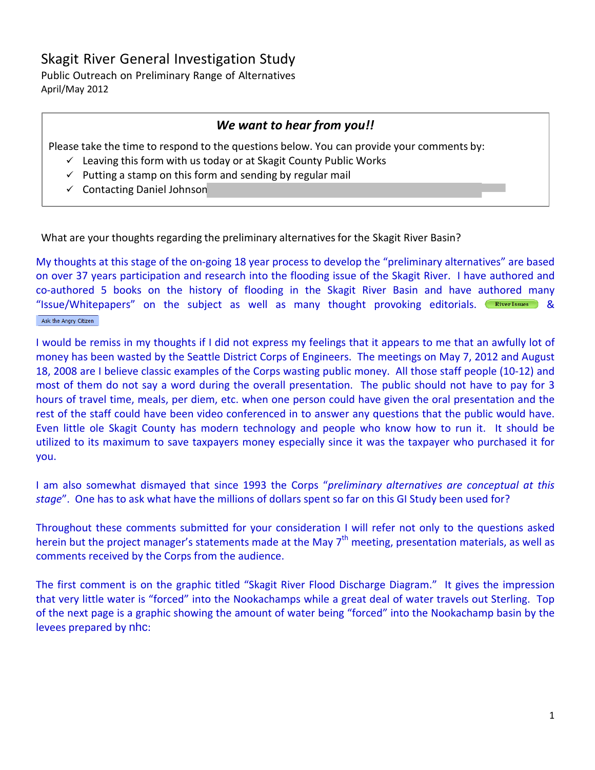# Skagit River General Investigation Study

Public Outreach on Preliminary Range of Alternatives April/May 2012

## *We want to hear from you!!*

Please take the time to respond to the questions below. You can provide your comments by:

- $\checkmark$  Leaving this form with us today or at Skagit County Public Works
- $\checkmark$  Putting a stamp on this form and sending by regular mail
- $\checkmark$  Contacting Daniel Johnson

What are your thoughts regarding the preliminary alternatives for the Skagit River Basin?

My thoughts at this stage of the on-going 18 year process to develop the "preliminary alternatives" are based on over 37 years participation and research into the flooding issue of the Skagit River. I have authored and co-authored 5 books on the history of flooding in the Skagit River Basin and have authored many "Issue/Whitepapers" on the subject as well as many thought provoking editorials.  $\overline{R}_{\text{iver}\text{Issues}}$  & Ask the Angry Citizen

I would be remiss in my thoughts if I did not express my feelings that it appears to me that an awfully lot of money has been wasted by the Seattle District Corps of Engineers. The meetings on May 7, 2012 and August 18, 2008 are I believe classic examples of the Corps wasting public money. All those staff people (10-12) and most of them do not say a word during the overall presentation. The public should not have to pay for 3 hours of travel time, meals, per diem, etc. when one person could have given the oral presentation and the rest of the staff could have been video conferenced in to answer any questions that the public would have. Even little ole Skagit County has modern technology and people who know how to run it. It should be utilized to its maximum to save taxpayers money especially since it was the taxpayer who purchased it for you.

I am also somewhat dismayed that since 1993 the Corps "*preliminary alternatives are conceptual at this stage*". One has to ask what have the millions of dollars spent so far on this GI Study been used for?

Throughout these comments submitted for your consideration I will refer not only to the questions asked herein but the project manager's statements made at the May 7<sup>th</sup> meeting, presentation materials, as well as comments received by the Corps from the audience.

The first comment is on the graphic titled "Skagit River Flood Discharge Diagram." It gives the impression that very little water is "forced" into the Nookachamps while a great deal of water travels out Sterling. Top of the next page is a graphic showing the amount of water being "forced" into the Nookachamp basin by the levees prepared by nhc: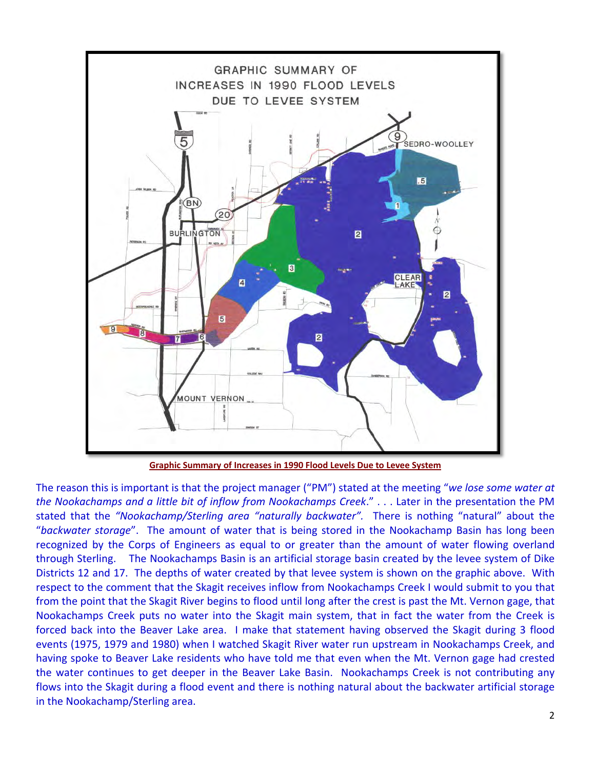

**[Graphic Summary of Increases in 1990 Flood Levels Due to Levee System](http://www.skagitriverhistory.com/PDFs/1990%20Flood%20Levels%20Increase%20Due%20to%20Levees.pdf)**

The reason this is important is that the project manager ("PM") stated at the meeting "*we lose some water at the Nookachamps and a little bit of inflow from Nookachamps Creek*." . . . Later in the presentation the PM stated that the *"Nookachamp/Sterling area "naturally backwater".* There is nothing "natural" about the "*backwater storage*". The amount of water that is being stored in the Nookachamp Basin has long been recognized by the Corps of Engineers as equal to or greater than the amount of water flowing overland through Sterling. The Nookachamps Basin is an artificial storage basin created by the levee system of Dike Districts 12 and 17. The depths of water created by that levee system is shown on the graphic above. With respect to the comment that the Skagit receives inflow from Nookachamps Creek I would submit to you that from the point that the Skagit River begins to flood until long after the crest is past the Mt. Vernon gage, that Nookachamps Creek puts no water into the Skagit main system, that in fact the water from the Creek is forced back into the Beaver Lake area. I make that statement having observed the Skagit during 3 flood events (1975, 1979 and 1980) when I watched Skagit River water run upstream in Nookachamps Creek, and having spoke to Beaver Lake residents who have told me that even when the Mt. Vernon gage had crested the water continues to get deeper in the Beaver Lake Basin. Nookachamps Creek is not contributing any flows into the Skagit during a flood event and there is nothing natural about the backwater artificial storage in the Nookachamp/Sterling area.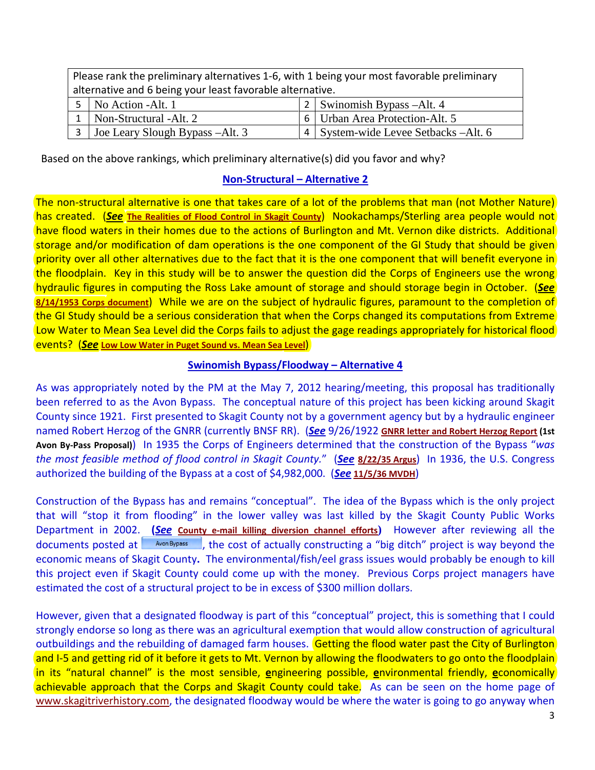| Please rank the preliminary alternatives 1-6, with 1 being your most favorable preliminary |                                 |  |                                         |  |
|--------------------------------------------------------------------------------------------|---------------------------------|--|-----------------------------------------|--|
| alternative and 6 being your least favorable alternative.                                  |                                 |  |                                         |  |
|                                                                                            | $5$ No Action - Alt. 1          |  | 2   Swinomish Bypass -Alt. 4            |  |
|                                                                                            | Non-Structural -Alt. 2          |  | 6   Urban Area Protection-Alt. 5        |  |
|                                                                                            | Joe Leary Slough Bypass -Alt. 3 |  | 4   System-wide Levee Setbacks – Alt. 6 |  |

Based on the above rankings, which preliminary alternative(s) did you favor and why?

### **Non-Structural – Alternative 2**

The non-structural alternative is one that takes care of a lot of the problems that man (not Mother Nature) has created. (*See* **[The Realities of Flood Control in Skagit County](http://www.skagitriverhistory.com/Angry%20Citizens/2006-09%20Ask%20the%20Angry%20Citizen.htm)**) Nookachamps/Sterling area people would not have flood waters in their homes due to the actions of Burlington and Mt. Vernon dike districts. Additional storage and/or modification of dam operations is the one component of the GI Study that should be given priority over all other alternatives due to the fact that it is the one component that will benefit everyone in the floodplain. Key in this study will be to answer the question did the Corps of Engineers use the wrong hydraulic figures in computing the Ross Lake amount of storage and should storage begin in October. (*See* **[8/14/1953 Corps document](http://www.skagitriverhistory.com/PDFs/1953-08-14%20%5bRETYPED%5d%20Corps%20Memo%20RE%20Flood%20Control%20for%20Ross%20Reservoir.pdf)**) While we are on the subject of hydraulic figures, paramount to the completion of the GI Study should be a serious consideration that when the Corps changed its computations from Extreme Low Water to Mean Sea Level did the Corps fails to adjust the gage readings appropriately for historical flood events? (*See* **[Low Low Water in Puget Sound vs. Mean Sea Level](http://www.skagitriverhistory.com/PDFs/2010-07-18%20LLW%20vs%20Sea%20Level%201907%20map%20discussion.pdf)**)

#### **Swinomish Bypass/Floodway – Alternative 4**

As was appropriately noted by the PM at the May 7, 2012 hearing/meeting, this proposal has traditionally been referred to as the Avon Bypass. The conceptual nature of this project has been kicking around Skagit County since 1921. First presented to Skagit County not by a government agency but by a hydraulic engineer named Robert Herzog of the GNRR (currently BNSF RR). (*See* 9/26/1922 **[GNRR letter and Robert Herzog Report](http://www.skagitriverhistory.com/BNSF/1922-9-26%20letter%20&%20Herzog%20Rpt.pdf) (1st Avon By-Pass Proposal)**) In 1935 the Corps of Engineers determined that the construction of the Bypass "*was the most feasible method of flood control in Skagit County.*" (*See* **[8/22/35](http://www.skagitriverhistory.com/PDF-BIN/Argus/1935-08-22%20A%20Argus.pdf) Argus**) In 1936, the U.S. Congress authorized the building of the Bypass at a cost of \$4,982,000. (*See* **[11/5/36](http://www.skagitriverhistory.com/PDF-BIN/MVDH/Mount%20Vernon%20Daily%20Herald%20Articles/1936-11-05%20a.pdf) MVDH**)

Construction of the Bypass has and remains "conceptual". The idea of the Bypass which is the only project that will "stop it from flooding" in the lower valley was last killed by the Skagit County Public Works Department in 2002. **(***See* **[County e-mail killing diversion channel efforts](http://www.skagitriverhistory.com/Flood%20Risk%20Management%20Work%20Group/2002-12-20%20Chal%20Martin%20e-mail%20killing%20bypass.pdf))** However after reviewing all the documents posted at  $\Box$  Avon Bypass  $\Box$ , the cost of actually constructing a "big ditch" project is way beyond the economic means of Skagit County**.** The environmental/fish/eel grass issues would probably be enough to kill this project even if Skagit County could come up with the money. Previous Corps project managers have estimated the cost of a structural project to be in excess of \$300 million dollars.

However, given that a designated floodway is part of this "conceptual" project, this is something that I could strongly endorse so long as there was an agricultural exemption that would allow construction of agricultural outbuildings and the rebuilding of damaged farm houses. Getting the flood water past the City of Burlington and I-5 and getting rid of it before it gets to Mt. Vernon by allowing the floodwaters to go onto the floodplain in its "natural channel" is the most sensible, **e**ngineering possible, **e**nvironmental friendly, **e**conomically achievable approach that the Corps and Skagit County could take. As can be seen on the home page of [www.skagitriverhistory.com,](http://www.skagitriverhistory.com/) the designated floodway would be where the water is going to go anyway when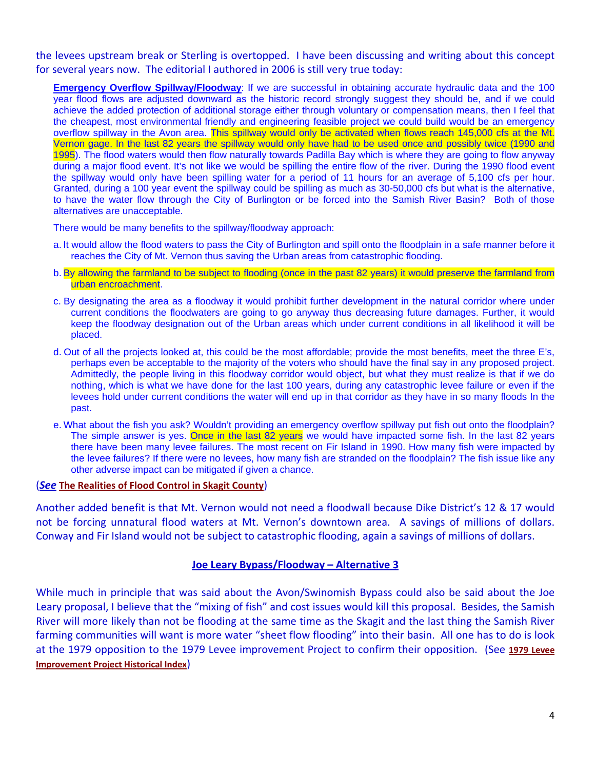the levees upstream break or Sterling is overtopped. I have been discussing and writing about this concept for several years now. The editorial I authored in 2006 is still very true today:

**Emergency Overflow Spillway/Floodway:** If we are successful in obtaining accurate hydraulic data and the 100 year flood flows are adjusted downward as the historic record strongly suggest they should be, and if we could achieve the added protection of additional storage either through voluntary or compensation means, then I feel that the cheapest, most environmental friendly and engineering feasible project we could build would be an emergency overflow spillway in the Avon area. This spillway would only be activated when flows reach 145,000 cfs at the Mt. Vernon gage. In the last 82 years the spillway would only have had to be used once and possibly twice (1990 and 1995). The flood waters would then flow naturally towards Padilla Bay which is where they are going to flow anyway during a major flood event. It's not like we would be spilling the entire flow of the river. During the 1990 flood event the spillway would only have been spilling water for a period of 11 hours for an average of 5,100 cfs per hour. Granted, during a 100 year event the spillway could be spilling as much as 30-50,000 cfs but what is the alternative, to have the water flow through the City of Burlington or be forced into the Samish River Basin? Both of those alternatives are unacceptable.

There would be many benefits to the spillway/floodway approach:

- a. It would allow the flood waters to pass the City of Burlington and spill onto the floodplain in a safe manner before it reaches the City of Mt. Vernon thus saving the Urban areas from catastrophic flooding.
- b. By allowing the farmland to be subject to flooding (once in the past 82 years) it would preserve the farmland from urban encroachment.
- c. By designating the area as a floodway it would prohibit further development in the natural corridor where under current conditions the floodwaters are going to go anyway thus decreasing future damages. Further, it would keep the floodway designation out of the Urban areas which under current conditions in all likelihood it will be placed.
- d. Out of all the projects looked at, this could be the most affordable; provide the most benefits, meet the three E's, perhaps even be acceptable to the majority of the voters who should have the final say in any proposed project. Admittedly, the people living in this floodway corridor would object, but what they must realize is that if we do nothing, which is what we have done for the last 100 years, during any catastrophic levee failure or even if the levees hold under current conditions the water will end up in that corridor as they have in so many floods In the past.
- e. What about the fish you ask? Wouldn't providing an emergency overflow spillway put fish out onto the floodplain? The simple answer is yes. Once in the last 82 years we would have impacted some fish. In the last 82 years there have been many levee failures. The most recent on Fir Island in 1990. How many fish were impacted by the levee failures? If there were no levees, how many fish are stranded on the floodplain? The fish issue like any other adverse impact can be mitigated if given a chance.

#### (*See* **[The Realities of Flood Control in Skagit County](http://www.skagitriverhistory.com/Angry%20Citizens/2006-09%20Ask%20the%20Angry%20Citizen.htm)**)

Another added benefit is that Mt. Vernon would not need a floodwall because Dike District's 12 & 17 would not be forcing unnatural flood waters at Mt. Vernon's downtown area. A savings of millions of dollars. Conway and Fir Island would not be subject to catastrophic flooding, again a savings of millions of dollars.

#### **Joe Leary Bypass/Floodway – Alternative 3**

While much in principle that was said about the Avon/Swinomish Bypass could also be said about the Joe Leary proposal, I believe that the "mixing of fish" and cost issues would kill this proposal. Besides, the Samish River will more likely than not be flooding at the same time as the Skagit and the last thing the Samish River farming communities will want is more water "sheet flow flooding" into their basin. All one has to do is look at the 1979 opposition to the 1979 Levee improvement Project to confirm their opposition. (See **[1979 Levee](http://www.skagitriverhistory.com/1979%20LEVEE%20IMPROVEMENT%20HISTORICAL%20INDEX.htm)  [Improvement Project Historical Index](http://www.skagitriverhistory.com/1979%20LEVEE%20IMPROVEMENT%20HISTORICAL%20INDEX.htm)**)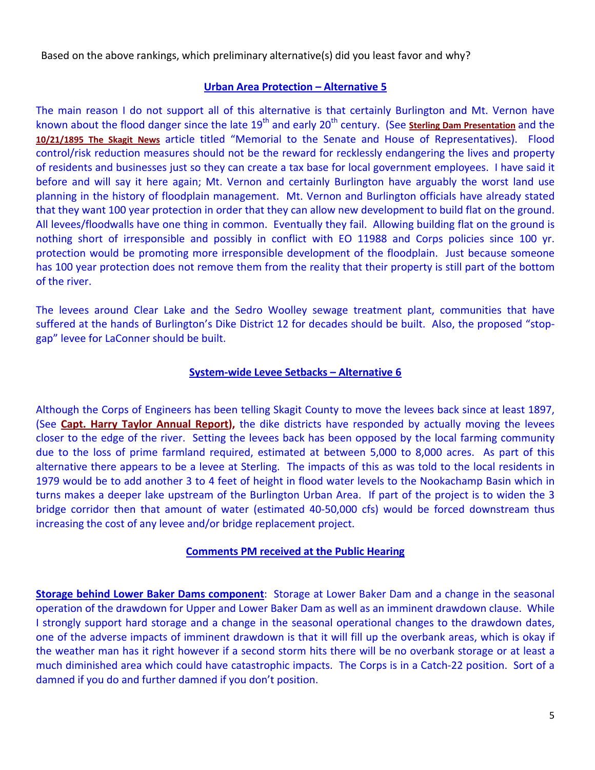Based on the above rankings, which preliminary alternative(s) did you least favor and why?

#### **Urban Area Protection – Alternative 5**

The main reason I do not support all of this alternative is that certainly Burlington and Mt. Vernon have known about the flood danger since the late 19<sup>th</sup> and early 20<sup>th</sup> century. (See **[Sterling Dam Presentation](http://www.skagitriverhistory.com/PDFs/sterling%20dam%20presentation.pdf)** and the **[10/21/1895 The Skagit News](http://www.skagitriverhistory.com/PDF-BIN/MVDH/1895-10-21.pdf)** article titled "Memorial to the Senate and House of Representatives). Flood control/risk reduction measures should not be the reward for recklessly endangering the lives and property of residents and businesses just so they can create a tax base for local government employees. I have said it before and will say it here again; Mt. Vernon and certainly Burlington have arguably the worst land use planning in the history of floodplain management. Mt. Vernon and Burlington officials have already stated that they want 100 year protection in order that they can allow new development to build flat on the ground. All levees/floodwalls have one thing in common. Eventually they fail. Allowing building flat on the ground is nothing short of irresponsible and possibly in conflict with EO 11988 and Corps policies since 100 yr. protection would be promoting more irresponsible development of the floodplain. Just because someone has 100 year protection does not remove them from the reality that their property is still part of the bottom of the river.

The levees around Clear Lake and the Sedro Woolley sewage treatment plant, communities that have suffered at the hands of Burlington's Dike District 12 for decades should be built. Also, the proposed "stopgap" levee for LaConner should be built.

#### **System-wide Levee Setbacks – Alternative 6**

Although the Corps of Engineers has been telling Skagit County to move the levees back since at least 1897, (See **[Capt. Harry Taylor Annual Report\)](http://www.skagitriverhistory.com/Corps%20Docs/1897-12-11%20Capt%20Harry%20Taylor%20Rpt.pdf),** the dike districts have responded by actually moving the levees closer to the edge of the river. Setting the levees back has been opposed by the local farming community due to the loss of prime farmland required, estimated at between 5,000 to 8,000 acres. As part of this alternative there appears to be a levee at Sterling. The impacts of this as was told to the local residents in 1979 would be to add another 3 to 4 feet of height in flood water levels to the Nookachamp Basin which in turns makes a deeper lake upstream of the Burlington Urban Area. If part of the project is to widen the 3 bridge corridor then that amount of water (estimated 40-50,000 cfs) would be forced downstream thus increasing the cost of any levee and/or bridge replacement project.

#### **Comments PM received at the Public Hearing**

**Storage behind Lower Baker Dams component**: Storage at Lower Baker Dam and a change in the seasonal operation of the drawdown for Upper and Lower Baker Dam as well as an imminent drawdown clause. While I strongly support hard storage and a change in the seasonal operational changes to the drawdown dates, one of the adverse impacts of imminent drawdown is that it will fill up the overbank areas, which is okay if the weather man has it right however if a second storm hits there will be no overbank storage or at least a much diminished area which could have catastrophic impacts. The Corps is in a Catch-22 position. Sort of a damned if you do and further damned if you don't position.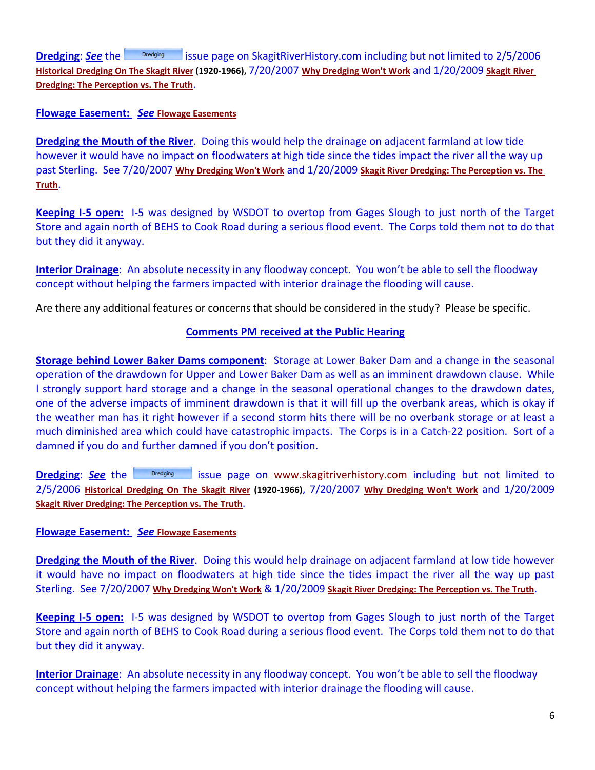**Dredging:See** the **interpretational page on SkagitRiverHistory.com including but not limited to 2/5/2006 [Historical Dredging On The Skagit River](http://www.skagitriverhistory.com/PDFs/HISTORICAL%20DREDGING.pdf) (1920-1966),** 7/20/2007 **[Why Dredging Won't Work](http://www.skagitriverhistory.com/PDFs/Why%20Dredging%20Won)** and 1/20/2009 **[Skagit River](http://www.skagitriverhistory.com/MS%20PowerPoint/Dredging%20Presentation%20FCZD.pdf)  [Dredging: The Perception vs. The Truth](http://www.skagitriverhistory.com/MS%20PowerPoint/Dredging%20Presentation%20FCZD.pdf)**.

#### **Flowage Easement:** *See* **[Flowage Easements](http://www.skagitriverhistory.com/PDFs/Flowage%20Easements.pdf)**

**Dredging the Mouth of the River**. Doing this would help the drainage on adjacent farmland at low tide however it would have no impact on floodwaters at high tide since the tides impact the river all the way up past Sterling. See 7/20/2007 **[Why Dredging Won't Work](http://www.skagitriverhistory.com/PDFs/Why%20Dredging%20Won)** and 1/20/2009 **[Skagit River Dredging: The Perception vs. The](http://www.skagitriverhistory.com/MS%20PowerPoint/Dredging%20Presentation%20FCZD.pdf)  [Truth](http://www.skagitriverhistory.com/MS%20PowerPoint/Dredging%20Presentation%20FCZD.pdf)**.

**Keeping I-5 open:** I-5 was designed by WSDOT to overtop from Gages Slough to just north of the Target Store and again north of BEHS to Cook Road during a serious flood event. The Corps told them not to do that but they did it anyway.

**Interior Drainage**: An absolute necessity in any floodway concept. You won't be able to sell the floodway concept without helping the farmers impacted with interior drainage the flooding will cause.

Are there any additional features or concerns that should be considered in the study? Please be specific.

#### **Comments PM received at the Public Hearing**

**Storage behind Lower Baker Dams component**: Storage at Lower Baker Dam and a change in the seasonal operation of the drawdown for Upper and Lower Baker Dam as well as an imminent drawdown clause. While I strongly support hard storage and a change in the seasonal operational changes to the drawdown dates, one of the adverse impacts of imminent drawdown is that it will fill up the overbank areas, which is okay if the weather man has it right however if a second storm hits there will be no overbank storage or at least a much diminished area which could have catastrophic impacts. The Corps is in a Catch-22 position. Sort of a damned if you do and further damned if you don't position.

**Dredging: See** the **interpretational engage on [www.skagitriverhistory.com](http://www.skagitriverhistory.com/)** including but not limited to 2/5/2006 **[Historical Dredging On The Skagit River](http://www.skagitriverhistory.com/PDFs/HISTORICAL%20DREDGING.pdf) (1920-1966)**, 7/20/2007 **[Why Dredging Won't Work](http://www.skagitriverhistory.com/PDFs/Why%20Dredging%20Won)** and 1/20/2009 **[Skagit River Dredging: The Perception vs. The Truth](http://www.skagitriverhistory.com/MS%20PowerPoint/Dredging%20Presentation%20FCZD.pdf)**.

#### **Flowage Easement:** *See* **[Flowage Easements](http://www.skagitriverhistory.com/PDFs/Flowage%20Easements.pdf)**

**Dredging the Mouth of the River**. Doing this would help drainage on adjacent farmland at low tide however it would have no impact on floodwaters at high tide since the tides impact the river all the way up past Sterling. See 7/20/2007 **[Why Dredging Won't Work](http://www.skagitriverhistory.com/PDFs/Why%20Dredging%20Won)** & 1/20/2009 **[Skagit River Dredging: The Perception vs. The Truth](http://www.skagitriverhistory.com/MS%20PowerPoint/Dredging%20Presentation%20FCZD.pdf)**.

**Keeping I-5 open:** I-5 was designed by WSDOT to overtop from Gages Slough to just north of the Target Store and again north of BEHS to Cook Road during a serious flood event. The Corps told them not to do that but they did it anyway.

**Interior Drainage**: An absolute necessity in any floodway concept. You won't be able to sell the floodway concept without helping the farmers impacted with interior drainage the flooding will cause.